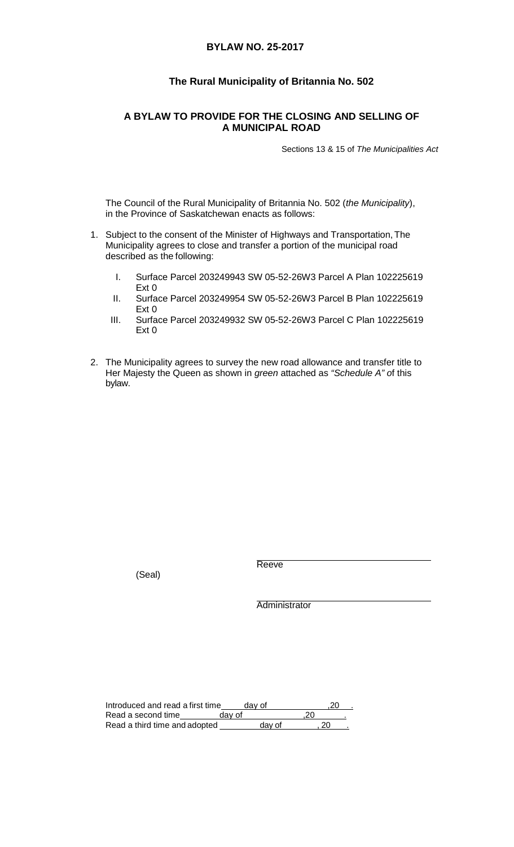## **BYLAW NO. 25-2017**

# **The Rural Municipality of Britannia No. 502**

## **A BYLAW TO PROVIDE FOR THE CLOSING AND SELLING OF A MUNICIPAL ROAD**

Sections 13 & 15 of *The Municipalities Act*

The Council of the Rural Municipality of Britannia No. 502 (*the Municipality*), in the Province of Saskatchewan enacts as follows:

- 1. Subject to the consent of the Minister of Highways and Transportation,The Municipality agrees to close and transfer a portion of the municipal road described as the following:
	- I. Surface Parcel 203249943 SW 05-52-26W3 Parcel A Plan 102225619 Ext 0
	- II. Surface Parcel 203249954 SW 05-52-26W3 Parcel B Plan 102225619 Ext 0
	- III. Surface Parcel 203249932 SW 05-52-26W3 Parcel C Plan 102225619 Ext 0
- 2. The Municipality agrees to survey the new road allowance and transfer title to Her Majesty the Queen as shown in *green* attached as *"Schedule A" o*f this bylaw.

(Seal)

Reeve

**Administrator** 

| Introduced and read a first time | dav of |     |  |
|----------------------------------|--------|-----|--|
| Read a second time               | dav of | .20 |  |
| Read a third time and adopted    | day of |     |  |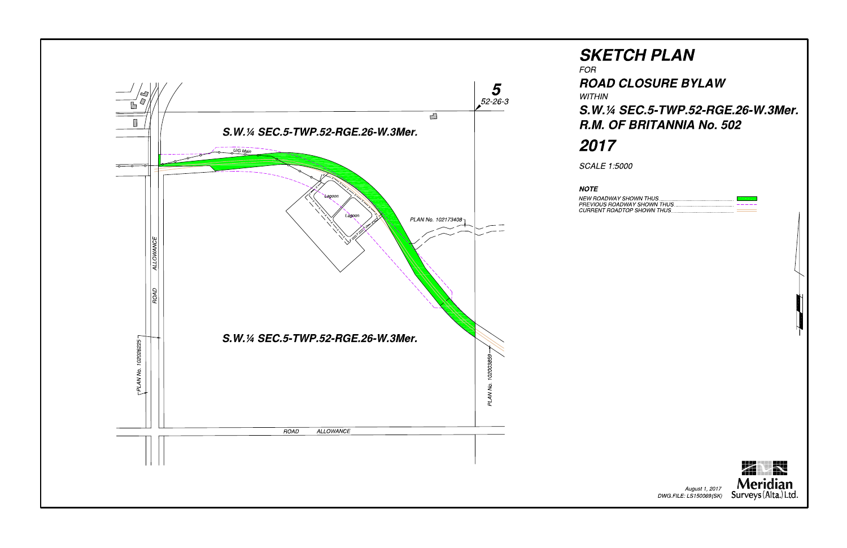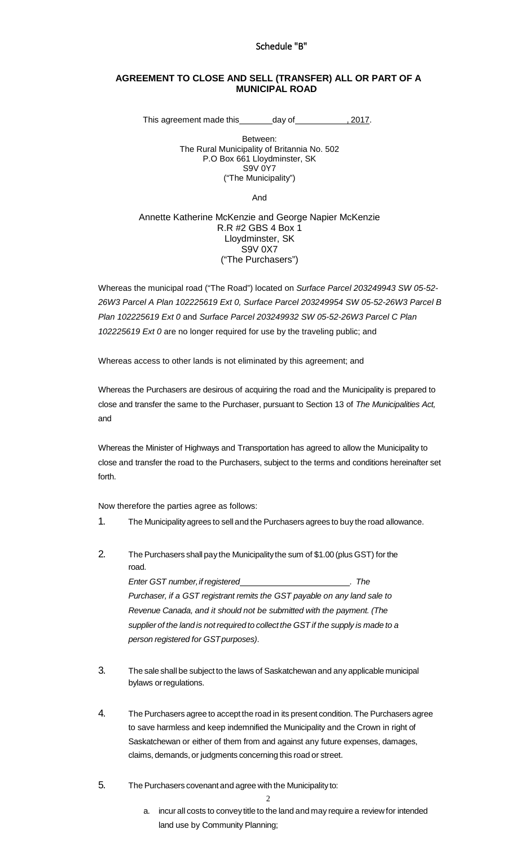### Schedule "B"

#### **AGREEMENT TO CLOSE AND SELL (TRANSFER) ALL OR PART OF A MUNICIPAL ROAD**

This agreement made this day of , 2017.

Between: The Rural Municipality of Britannia No. 502 P.O Box 661 Lloydminster, SK S9V 0Y7 ("The Municipality")

And

#### Annette Katherine McKenzie and George Napier McKenzie R.R #2 GBS 4 Box 1 Lloydminster, SK S9V 0X7 ("The Purchasers")

Whereas the municipal road ("The Road") located on *Surface Parcel 203249943 SW 05-52- 26W3 Parcel A Plan 102225619 Ext 0, Surface Parcel 203249954 SW 05-52-26W3 Parcel B Plan 102225619 Ext 0* and *Surface Parcel 203249932 SW 05-52-26W3 Parcel C Plan 102225619 Ext 0* are no longer required for use by the traveling public; and

Whereas access to other lands is not eliminated by this agreement; and

Whereas the Purchasers are desirous of acquiring the road and the Municipality is prepared to close and transfer the same to the Purchaser, pursuant to Section 13 of *The Municipalities Act,*  and

Whereas the Minister of Highways and Transportation has agreed to allow the Municipality to close and transfer the road to the Purchasers, subject to the terms and conditions hereinafter set forth.

Now therefore the parties agree as follows:

- 1. The Municipalityagrees to sell and the Purchasers agrees to buy the road allowance.
- 2. The Purchasers shall pay the Municipalitythe sum of \$1.00 (plus GST) for the road.

*Enter GST number,if registered . The Purchaser, if a GST registrant remits the GST payable on any land sale to Revenue Canada, and it should not be submitted with the payment. (The supplier of the land is not required to collect the GST if the supply is made to a person registered for GSTpurposes)*.

- 3. The sale shall be subject to the laws of Saskatchewan and any applicable municipal bylaws or regulations.
- 4. The Purchasers agree to accept the road in its present condition. The Purchasers agree to save harmless and keep indemnified the Municipality and the Crown in right of Saskatchewan or either of them from and against any future expenses, damages, claims, demands, or judgments concerning this road or street.
- 5. The Purchasers covenant and agree with the Municipalityto:

2

a. incur all costs to convey title to the land and may require a review for intended land use by Community Planning;